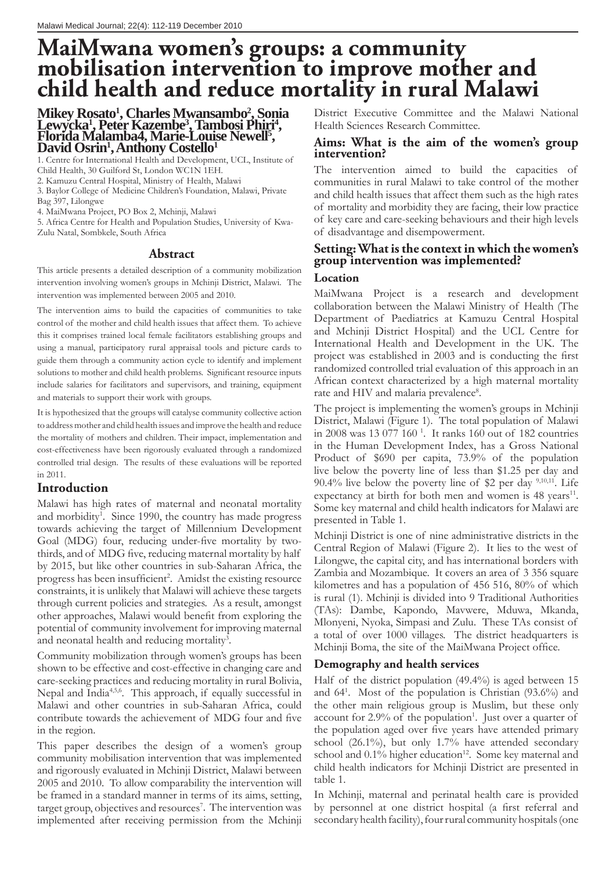# **MaiMwana women's groups: a community mobilisation intervention to improve mother and child health and reduce mortality in rural Malawi**

## Mikey Rosato<sup>1</sup>, Charles Mwansambo<sup>2</sup>, Sonia<br>Lewycka<sup>1</sup>, Peter Kazembe<sup>3</sup>, Tambosi Phiri<sup>4</sup>,<br>Florida Malamba4, Marie-Louise Newell<sup>5</sup>, Florida Malamba4, Marie-Louise Newell<sup>5</sup>,<br>David Osrin<sup>1</sup>, Anthony Costello<sup>1</sup> David Osrin<sup>1</sup>, Anthony Costello<sup>1</sup>

1. Centre for International Health and Development, UCL, Institute of Child Health, 30 Guilford St, London WC1N 1EH.

2. Kamuzu Central Hospital, Ministry of Health, Malawi

3. Baylor College of Medicine Children's Foundation, Malawi, Private Bag 397, Lilongwe

4. MaiMwana Project, PO Box 2, Mchinji, Malawi

5. Africa Centre for Health and Population Studies, University of Kwa-Zulu Natal, Sombkele, South Africa

## **Abstract**

This article presents a detailed description of a community mobilization intervention involving women's groups in Mchinji District, Malawi. The intervention was implemented between 2005 and 2010.

The intervention aims to build the capacities of communities to take control of the mother and child health issues that affect them. To achieve this it comprises trained local female facilitators establishing groups and using a manual, participatory rural appraisal tools and picture cards to guide them through a community action cycle to identify and implement solutions to mother and child health problems. Significant resource inputs include salaries for facilitators and supervisors, and training, equipment and materials to support their work with groups.

It is hypothesized that the groups will catalyse community collective action to address mother and child health issues and improve the health and reduce the mortality of mothers and children. Their impact, implementation and cost-effectiveness have been rigorously evaluated through a randomized controlled trial design. The results of these evaluations will be reported in 2011.

## **Introduction**

Malawi has high rates of maternal and neonatal mortality and morbidity<sup>1</sup>. Since 1990, the country has made progress towards achieving the target of Millennium Development Goal (MDG) four, reducing under-five mortality by twothirds, and of MDG five, reducing maternal mortality by half by 2015, but like other countries in sub-Saharan Africa, the progress has been insufficient<sup>2</sup>. Amidst the existing resource constraints, it is unlikely that Malawi will achieve these targets through current policies and strategies. As a result, amongst other approaches, Malawi would benefit from exploring the potential of community involvement for improving maternal and neonatal health and reducing mortality<sup>3</sup>.

Community mobilization through women's groups has been shown to be effective and cost-effective in changing care and care-seeking practices and reducing mortality in rural Bolivia, Nepal and India<sup>4,5,6</sup>. This approach, if equally successful in Malawi and other countries in sub-Saharan Africa, could contribute towards the achievement of MDG four and five in the region.

This paper describes the design of a women's group community mobilisation intervention that was implemented and rigorously evaluated in Mchinji District, Malawi between 2005 and 2010. To allow comparability the intervention will be framed in a standard manner in terms of its aims, setting, target group, objectives and resources<sup>7</sup>. The intervention was implemented after receiving permission from the Mchinji

District Executive Committee and the Malawi National Health Sciences Research Committee.

#### **Aims: What is the aim of the women's group intervention?**

The intervention aimed to build the capacities of communities in rural Malawi to take control of the mother and child health issues that affect them such as the high rates of mortality and morbidity they are facing, their low practice of key care and care-seeking behaviours and their high levels of disadvantage and disempowerment.

#### **Setting: What is the context in which the women's group intervention was implemented?**

#### **Location**

MaiMwana Project is a research and development collaboration between the Malawi Ministry of Health (The Department of Paediatrics at Kamuzu Central Hospital and Mchinji District Hospital) and the UCL Centre for International Health and Development in the UK. The project was established in 2003 and is conducting the first randomized controlled trial evaluation of this approach in an African context characterized by a high maternal mortality rate and HIV and malaria prevalence<sup>8</sup>.

The project is implementing the women's groups in Mchinji District, Malawi (Figure 1). The total population of Malawi in 2008 was 13 077 160 1 . It ranks 160 out of 182 countries in the Human Development Index, has a Gross National Product of \$690 per capita, 73.9% of the population live below the poverty line of less than \$1.25 per day and 90.4% live below the poverty line of \$2 per day  $9,10,11$ . Life expectancy at birth for both men and women is  $48$  years<sup>11</sup>. Some key maternal and child health indicators for Malawi are presented in Table 1.

Mchinji District is one of nine administrative districts in the Central Region of Malawi (Figure 2). It lies to the west of Lilongwe, the capital city, and has international borders with Zambia and Mozambique. It covers an area of 3 356 square kilometres and has a population of 456 516, 80% of which is rural (1). Mchinji is divided into 9 Traditional Authorities (TAs): Dambe, Kapondo, Mavwere, Mduwa, Mkanda, Mlonyeni, Nyoka, Simpasi and Zulu. These TAs consist of a total of over 1000 villages. The district headquarters is Mchinji Boma, the site of the MaiMwana Project office.

## **Demography and health services**

Half of the district population (49.4%) is aged between 15 and 641 . Most of the population is Christian (93.6%) and the other main religious group is Muslim, but these only account for  $2.9\%$  of the population<sup>1</sup>. Just over a quarter of the population aged over five years have attended primary school (26.1%), but only 1.7% have attended secondary school and  $0.1\%$  higher education<sup>12</sup>. Some key maternal and child health indicators for Mchinji District are presented in table 1.

In Mchinji, maternal and perinatal health care is provided by personnel at one district hospital (a first referral and secondary health facility), four rural community hospitals (one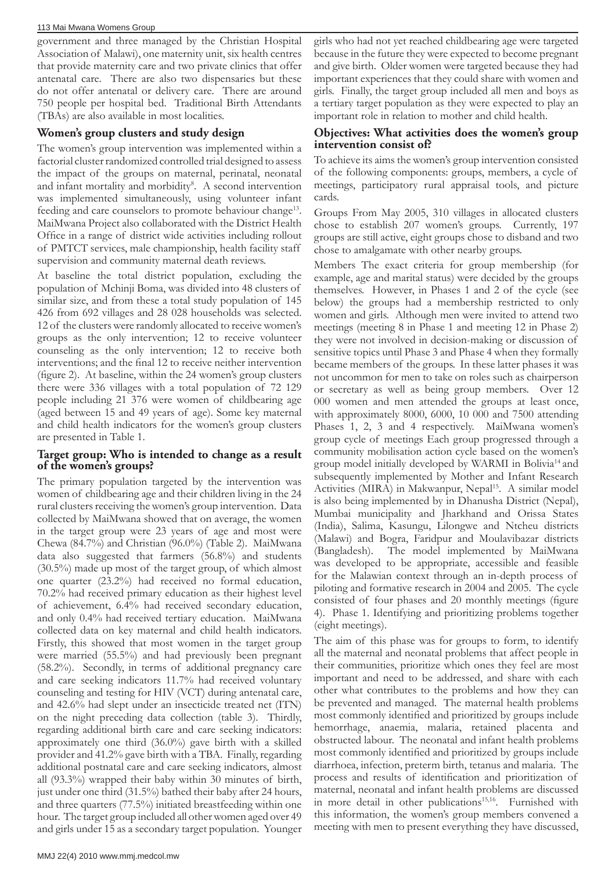#### 113 Mai Mwana Womens Group

government and three managed by the Christian Hospital Association of Malawi), one maternity unit, six health centres that provide maternity care and two private clinics that offer antenatal care. There are also two dispensaries but these do not offer antenatal or delivery care. There are around 750 people per hospital bed. Traditional Birth Attendants (TBAs) are also available in most localities.

## **Women's group clusters and study design**

The women's group intervention was implemented within a factorial cluster randomized controlled trial designed to assess the impact of the groups on maternal, perinatal, neonatal and infant mortality and morbidity<sup>8</sup>. A second intervention was implemented simultaneously, using volunteer infant feeding and care counselors to promote behaviour change<sup>13</sup>. MaiMwana Project also collaborated with the District Health Office in a range of district wide activities including rollout of PMTCT services, male championship, health facility staff supervision and community maternal death reviews.

At baseline the total district population, excluding the population of Mchinji Boma, was divided into 48 clusters of similar size, and from these a total study population of 145 426 from 692 villages and 28 028 households was selected. 12 of the clusters were randomly allocated to receive women's groups as the only intervention; 12 to receive volunteer counseling as the only intervention; 12 to receive both interventions; and the final 12 to receive neither intervention (figure 2). At baseline, within the 24 women's group clusters there were 336 villages with a total population of 72 129 people including 21 376 were women of childbearing age (aged between 15 and 49 years of age). Some key maternal and child health indicators for the women's group clusters are presented in Table 1.

#### **Target group: Who is intended to change as a result of the women's groups?**

The primary population targeted by the intervention was women of childbearing age and their children living in the 24 rural clusters receiving the women's group intervention. Data collected by MaiMwana showed that on average, the women in the target group were 23 years of age and most were Chewa (84.7%) and Christian (96.0%) (Table 2). MaiMwana data also suggested that farmers (56.8%) and students (30.5%) made up most of the target group, of which almost one quarter (23.2%) had received no formal education, 70.2% had received primary education as their highest level of achievement, 6.4% had received secondary education, and only 0.4% had received tertiary education. MaiMwana collected data on key maternal and child health indicators. Firstly, this showed that most women in the target group were married (55.5%) and had previously been pregnant (58.2%). Secondly, in terms of additional pregnancy care and care seeking indicators 11.7% had received voluntary counseling and testing for HIV (VCT) during antenatal care, and 42.6% had slept under an insecticide treated net (ITN) on the night preceding data collection (table 3). Thirdly, regarding additional birth care and care seeking indicators: approximately one third (36.0%) gave birth with a skilled provider and 41.2% gave birth with a TBA. Finally, regarding additional postnatal care and care seeking indicators, almost all (93.3%) wrapped their baby within 30 minutes of birth, just under one third (31.5%) bathed their baby after 24 hours, and three quarters (77.5%) initiated breastfeeding within one hour. The target group included all other women aged over 49 and girls under 15 as a secondary target population. Younger girls who had not yet reached childbearing age were targeted because in the future they were expected to become pregnant and give birth. Older women were targeted because they had important experiences that they could share with women and girls. Finally, the target group included all men and boys as a tertiary target population as they were expected to play an important role in relation to mother and child health.

#### **Objectives: What activities does the women's group intervention consist of?**

To achieve its aims the women's group intervention consisted of the following components: groups, members, a cycle of meetings, participatory rural appraisal tools, and picture cards.

Groups From May 2005, 310 villages in allocated clusters chose to establish 207 women's groups. Currently, 197 groups are still active, eight groups chose to disband and two chose to amalgamate with other nearby groups.

Members The exact criteria for group membership (for example, age and marital status) were decided by the groups themselves. However, in Phases 1 and 2 of the cycle (see below) the groups had a membership restricted to only women and girls. Although men were invited to attend two meetings (meeting 8 in Phase 1 and meeting 12 in Phase 2) they were not involved in decision-making or discussion of sensitive topics until Phase 3 and Phase 4 when they formally became members of the groups. In these latter phases it was not uncommon for men to take on roles such as chairperson or secretary as well as being group members. Over 12 000 women and men attended the groups at least once, with approximately 8000, 6000, 10 000 and 7500 attending Phases 1, 2, 3 and 4 respectively. MaiMwana women's group cycle of meetings Each group progressed through a community mobilisation action cycle based on the women's group model initially developed by WARMI in Bolivia14 and subsequently implemented by Mother and Infant Research Activities (MIRA) in Makwanpur, Nepal<sup>15</sup>. A similar model is also being implemented by in Dhanusha District (Nepal), Mumbai municipality and Jharkhand and Orissa States (India), Salima, Kasungu, Lilongwe and Ntcheu districts (Malawi) and Bogra, Faridpur and Moulavibazar districts (Bangladesh). The model implemented by MaiMwana was developed to be appropriate, accessible and feasible for the Malawian context through an in-depth process of piloting and formative research in 2004 and 2005. The cycle consisted of four phases and 20 monthly meetings (figure 4). Phase 1. Identifying and prioritizing problems together (eight meetings).

The aim of this phase was for groups to form, to identify all the maternal and neonatal problems that affect people in their communities, prioritize which ones they feel are most important and need to be addressed, and share with each other what contributes to the problems and how they can be prevented and managed. The maternal health problems most commonly identified and prioritized by groups include hemorrhage, anaemia, malaria, retained placenta and obstructed labour. The neonatal and infant health problems most commonly identified and prioritized by groups include diarrhoea, infection, preterm birth, tetanus and malaria. The process and results of identification and prioritization of maternal, neonatal and infant health problems are discussed in more detail in other publications<sup>15,16</sup>. Furnished with this information, the women's group members convened a meeting with men to present everything they have discussed,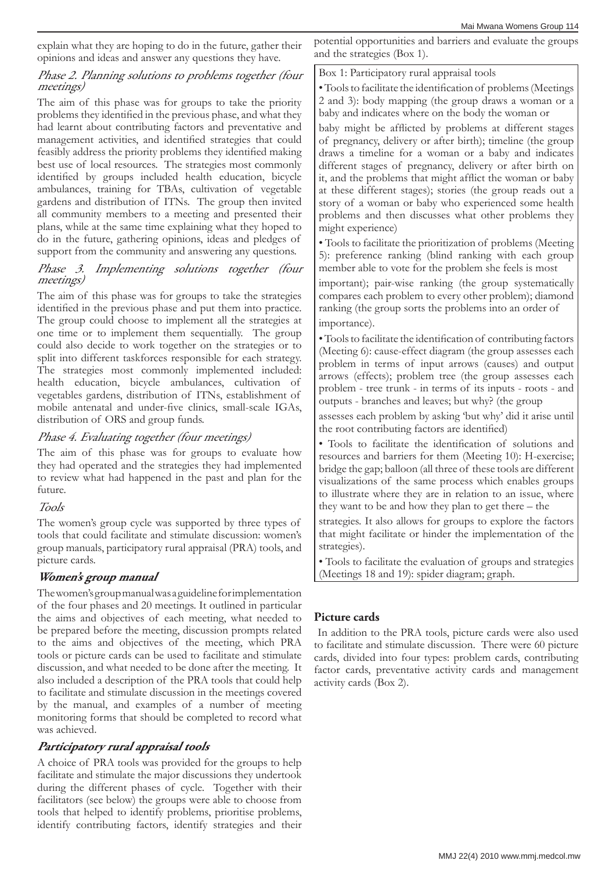explain what they are hoping to do in the future, gather their opinions and ideas and answer any questions they have.

#### Phase 2. Planning solutions to problems together (four meetings)

The aim of this phase was for groups to take the priority problems they identified in the previous phase, and what they had learnt about contributing factors and preventative and management activities, and identified strategies that could feasibly address the priority problems they identified making best use of local resources. The strategies most commonly identified by groups included health education, bicycle ambulances, training for TBAs, cultivation of vegetable gardens and distribution of ITNs. The group then invited all community members to a meeting and presented their plans, while at the same time explaining what they hoped to do in the future, gathering opinions, ideas and pledges of support from the community and answering any questions.

## Phase 3. Implementing solutions together (four meetings)

The aim of this phase was for groups to take the strategies identified in the previous phase and put them into practice. The group could choose to implement all the strategies at one time or to implement them sequentially. The group could also decide to work together on the strategies or to split into different taskforces responsible for each strategy. The strategies most commonly implemented included: health education, bicycle ambulances, cultivation of vegetables gardens, distribution of ITNs, establishment of mobile antenatal and under-five clinics, small-scale IGAs, distribution of ORS and group funds.

#### Phase 4. Evaluating together (four meetings)

The aim of this phase was for groups to evaluate how they had operated and the strategies they had implemented to review what had happened in the past and plan for the future.

#### Tools

The women's group cycle was supported by three types of tools that could facilitate and stimulate discussion: women's group manuals, participatory rural appraisal (PRA) tools, and picture cards.

## **Women's group manual**

The women's group manual was a guideline for implementation of the four phases and 20 meetings. It outlined in particular the aims and objectives of each meeting, what needed to be prepared before the meeting, discussion prompts related to the aims and objectives of the meeting, which PRA tools or picture cards can be used to facilitate and stimulate discussion, and what needed to be done after the meeting. It also included a description of the PRA tools that could help to facilitate and stimulate discussion in the meetings covered by the manual, and examples of a number of meeting monitoring forms that should be completed to record what was achieved.

## **Participatory rural appraisal tools**

A choice of PRA tools was provided for the groups to help facilitate and stimulate the major discussions they undertook during the different phases of cycle. Together with their facilitators (see below) the groups were able to choose from tools that helped to identify problems, prioritise problems, identify contributing factors, identify strategies and their potential opportunities and barriers and evaluate the groups and the strategies (Box 1).

Box 1: Participatory rural appraisal tools

• Tools to facilitate the identification of problems (Meetings 2 and 3): body mapping (the group draws a woman or a baby and indicates where on the body the woman or

baby might be afflicted by problems at different stages of pregnancy, delivery or after birth); timeline (the group draws a timeline for a woman or a baby and indicates different stages of pregnancy, delivery or after birth on it, and the problems that might afflict the woman or baby at these different stages); stories (the group reads out a story of a woman or baby who experienced some health problems and then discusses what other problems they might experience)

• Tools to facilitate the prioritization of problems (Meeting 5): preference ranking (blind ranking with each group member able to vote for the problem she feels is most

important); pair-wise ranking (the group systematically compares each problem to every other problem); diamond ranking (the group sorts the problems into an order of importance).

• Tools to facilitate the identification of contributing factors (Meeting 6): cause-effect diagram (the group assesses each problem in terms of input arrows (causes) and output arrows (effects); problem tree (the group assesses each problem - tree trunk - in terms of its inputs - roots - and outputs - branches and leaves; but why? (the group

assesses each problem by asking 'but why' did it arise until the root contributing factors are identified)

• Tools to facilitate the identification of solutions and resources and barriers for them (Meeting 10): H-exercise; bridge the gap; balloon (all three of these tools are different visualizations of the same process which enables groups to illustrate where they are in relation to an issue, where they want to be and how they plan to get there – the

strategies. It also allows for groups to explore the factors that might facilitate or hinder the implementation of the strategies).

• Tools to facilitate the evaluation of groups and strategies (Meetings 18 and 19): spider diagram; graph.

## **Picture cards**

 In addition to the PRA tools, picture cards were also used to facilitate and stimulate discussion. There were 60 picture cards, divided into four types: problem cards, contributing factor cards, preventative activity cards and management activity cards (Box 2).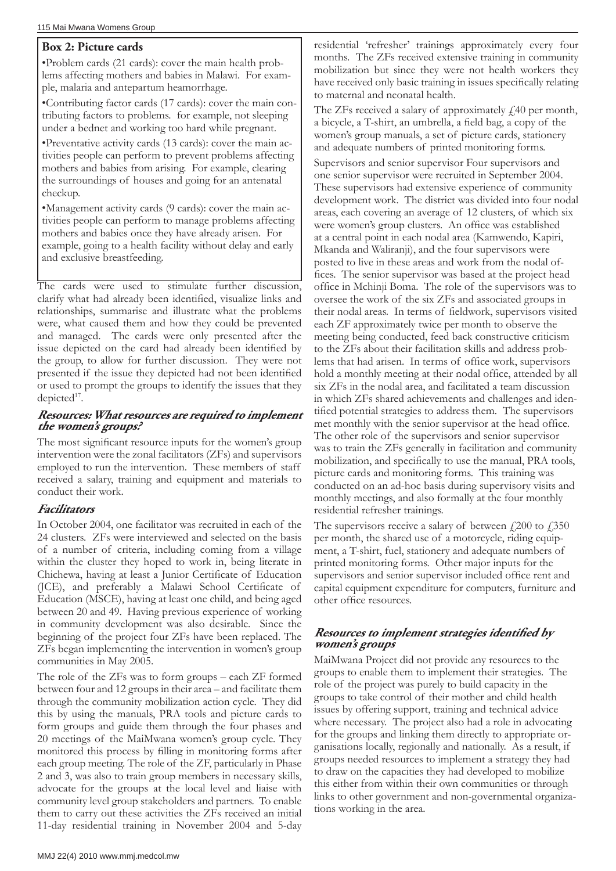#### **Box 2: Picture cards**

•Problem cards (21 cards): cover the main health problems affecting mothers and babies in Malawi. For example, malaria and antepartum heamorrhage.

•Contributing factor cards (17 cards): cover the main contributing factors to problems. for example, not sleeping under a bednet and working too hard while pregnant.

•Preventative activity cards (13 cards): cover the main activities people can perform to prevent problems affecting mothers and babies from arising. For example, clearing the surroundings of houses and going for an antenatal checkup.

•Management activity cards (9 cards): cover the main activities people can perform to manage problems affecting mothers and babies once they have already arisen. For example, going to a health facility without delay and early and exclusive breastfeeding.

The cards were used to stimulate further discussion, clarify what had already been identified, visualize links and relationships, summarise and illustrate what the problems were, what caused them and how they could be prevented and managed. The cards were only presented after the issue depicted on the card had already been identified by the group, to allow for further discussion. They were not presented if the issue they depicted had not been identified or used to prompt the groups to identify the issues that they depicted<sup>17</sup>.

#### **Resources: What resources are required to implement the women's groups?**

The most significant resource inputs for the women's group intervention were the zonal facilitators (ZFs) and supervisors employed to run the intervention. These members of staff received a salary, training and equipment and materials to conduct their work.

## **Facilitators**

In October 2004, one facilitator was recruited in each of the 24 clusters. ZFs were interviewed and selected on the basis of a number of criteria, including coming from a village within the cluster they hoped to work in, being literate in Chichewa, having at least a Junior Certificate of Education (JCE), and preferably a Malawi School Certificate of Education (MSCE), having at least one child, and being aged between 20 and 49. Having previous experience of working in community development was also desirable. Since the beginning of the project four ZFs have been replaced. The ZFs began implementing the intervention in women's group communities in May 2005.

The role of the ZFs was to form groups – each ZF formed between four and 12 groups in their area – and facilitate them through the community mobilization action cycle. They did this by using the manuals, PRA tools and picture cards to form groups and guide them through the four phases and 20 meetings of the MaiMwana women's group cycle. They monitored this process by filling in monitoring forms after each group meeting. The role of the ZF, particularly in Phase 2 and 3, was also to train group members in necessary skills, advocate for the groups at the local level and liaise with community level group stakeholders and partners. To enable them to carry out these activities the ZFs received an initial 11-day residential training in November 2004 and 5-day

residential 'refresher' trainings approximately every four months. The ZFs received extensive training in community mobilization but since they were not health workers they have received only basic training in issues specifically relating to maternal and neonatal health.

The ZFs received a salary of approximately  $\ddot{\varphi}$  at month, a bicycle, a T-shirt, an umbrella, a field bag, a copy of the women's group manuals, a set of picture cards, stationery and adequate numbers of printed monitoring forms.

Supervisors and senior supervisor Four supervisors and one senior supervisor were recruited in September 2004. These supervisors had extensive experience of community development work. The district was divided into four nodal areas, each covering an average of 12 clusters, of which six were women's group clusters. An office was established at a central point in each nodal area (Kamwendo, Kapiri, Mkanda and Waliranji), and the four supervisors were posted to live in these areas and work from the nodal offices. The senior supervisor was based at the project head office in Mchinji Boma. The role of the supervisors was to oversee the work of the six ZFs and associated groups in their nodal areas. In terms of fieldwork, supervisors visited each ZF approximately twice per month to observe the meeting being conducted, feed back constructive criticism to the ZFs about their facilitation skills and address problems that had arisen. In terms of office work, supervisors hold a monthly meeting at their nodal office, attended by all six ZFs in the nodal area, and facilitated a team discussion in which ZFs shared achievements and challenges and identified potential strategies to address them. The supervisors met monthly with the senior supervisor at the head office. The other role of the supervisors and senior supervisor was to train the ZFs generally in facilitation and community mobilization, and specifically to use the manual, PRA tools, picture cards and monitoring forms. This training was conducted on an ad-hoc basis during supervisory visits and monthly meetings, and also formally at the four monthly residential refresher trainings.

The supervisors receive a salary of between  $\text{\emph{f}}200$  to  $\text{\emph{f}}350$ per month, the shared use of a motorcycle, riding equipment, a T-shirt, fuel, stationery and adequate numbers of printed monitoring forms. Other major inputs for the supervisors and senior supervisor included office rent and capital equipment expenditure for computers, furniture and other office resources.

#### **Resources to implement strategies identified by women's groups**

MaiMwana Project did not provide any resources to the groups to enable them to implement their strategies. The role of the project was purely to build capacity in the groups to take control of their mother and child health issues by offering support, training and technical advice where necessary. The project also had a role in advocating for the groups and linking them directly to appropriate organisations locally, regionally and nationally. As a result, if groups needed resources to implement a strategy they had to draw on the capacities they had developed to mobilize this either from within their own communities or through links to other government and non-governmental organizations working in the area.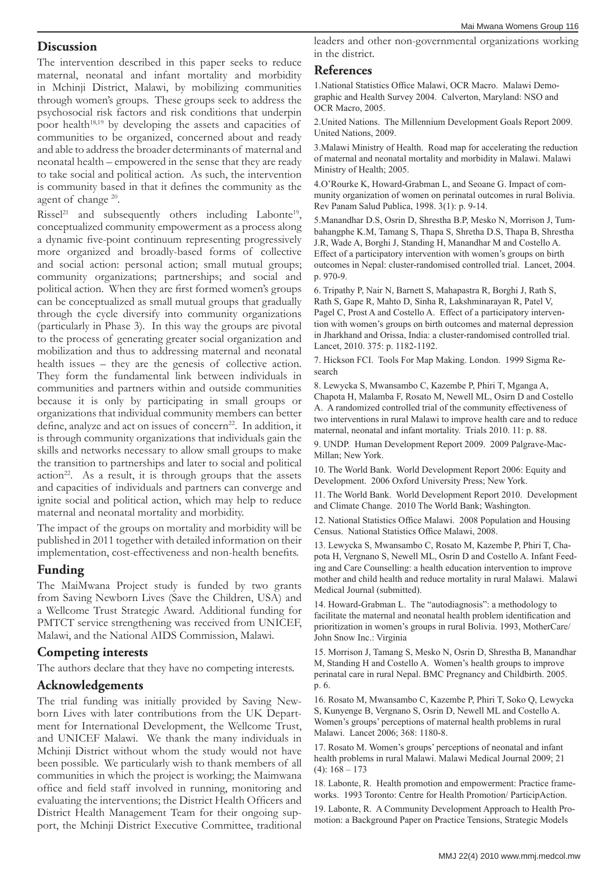#### **Discussion**

The intervention described in this paper seeks to reduce maternal, neonatal and infant mortality and morbidity in Mchinji District, Malawi, by mobilizing communities through women's groups. These groups seek to address the psychosocial risk factors and risk conditions that underpin poor health<sup>18,19</sup> by developing the assets and capacities of communities to be organized, concerned about and ready and able to address the broader determinants of maternal and neonatal health – empowered in the sense that they are ready to take social and political action. As such, the intervention is community based in that it defines the community as the agent of change <sup>20</sup>.

Rissel<sup>21</sup> and subsequently others including Labonte<sup>19</sup>, conceptualized community empowerment as a process along a dynamic five-point continuum representing progressively more organized and broadly-based forms of collective and social action: personal action; small mutual groups; community organizations; partnerships; and social and political action. When they are first formed women's groups can be conceptualized as small mutual groups that gradually through the cycle diversify into community organizations (particularly in Phase 3). In this way the groups are pivotal to the process of generating greater social organization and mobilization and thus to addressing maternal and neonatal health issues – they are the genesis of collective action. They form the fundamental link between individuals in communities and partners within and outside communities because it is only by participating in small groups or organizations that individual community members can better define, analyze and act on issues of concern<sup>22</sup>. In addition, it is through community organizations that individuals gain the skills and networks necessary to allow small groups to make the transition to partnerships and later to social and political action<sup>22</sup>. As a result, it is through groups that the assets and capacities of individuals and partners can converge and ignite social and political action, which may help to reduce maternal and neonatal mortality and morbidity.

The impact of the groups on mortality and morbidity will be published in 2011 together with detailed information on their implementation, cost-effectiveness and non-health benefits.

#### **Funding**

The MaiMwana Project study is funded by two grants from Saving Newborn Lives (Save the Children, USA) and a Wellcome Trust Strategic Award. Additional funding for PMTCT service strengthening was received from UNICEF, Malawi, and the National AIDS Commission, Malawi.

#### **Competing interests**

The authors declare that they have no competing interests.

#### **Acknowledgements**

The trial funding was initially provided by Saving Newborn Lives with later contributions from the UK Department for International Development, the Wellcome Trust, and UNICEF Malawi. We thank the many individuals in Mchinji District without whom the study would not have been possible. We particularly wish to thank members of all communities in which the project is working; the Maimwana office and field staff involved in running, monitoring and evaluating the interventions; the District Health Officers and District Health Management Team for their ongoing support, the Mchinji District Executive Committee, traditional

leaders and other non-governmental organizations working in the district.

#### **References**

1.National Statistics Office Malawi, OCR Macro. Malawi Demographic and Health Survey 2004. Calverton, Maryland: NSO and OCR Macro, 2005.

2.United Nations. The Millennium Development Goals Report 2009. United Nations, 2009.

3.Malawi Ministry of Health. Road map for accelerating the reduction of maternal and neonatal mortality and morbidity in Malawi. Malawi Ministry of Health; 2005.

4.O'Rourke K, Howard-Grabman L, and Seoane G. Impact of community organization of women on perinatal outcomes in rural Bolivia. Rev Panam Salud Publica, 1998. 3(1): p. 9-14.

5.Manandhar D.S, Osrin D, Shrestha B.P, Mesko N, Morrison J, Tumbahangphe K.M, Tamang S, Thapa S, Shretha D.S, Thapa B, Shrestha J.R, Wade A, Borghi J, Standing H, Manandhar M and Costello A. Effect of a participatory intervention with women's groups on birth outcomes in Nepal: cluster-randomised controlled trial. Lancet, 2004. p. 970-9.

6. Tripathy P, Nair N, Barnett S, Mahapastra R, Borghi J, Rath S, Rath S, Gape R, Mahto D, Sinha R, Lakshminarayan R, Patel V, Pagel C, Prost A and Costello A. Effect of a participatory intervention with women's groups on birth outcomes and maternal depression in Jharkhand and Orissa, India: a cluster-randomised controlled trial. Lancet, 2010. 375: p. 1182-1192.

7. Hickson FCI. Tools For Map Making. London. 1999 Sigma Research

8. Lewycka S, Mwansambo C, Kazembe P, Phiri T, Mganga A, Chapota H, Malamba F, Rosato M, Newell ML, Osirn D and Costello A. A randomized controlled trial of the community effectiveness of two interventions in rural Malawi to improve health care and to reduce maternal, neonatal and infant mortality. Trials 2010. 11: p. 88.

9. UNDP. Human Development Report 2009. 2009 Palgrave-Mac-Millan; New York.

10. The World Bank. World Development Report 2006: Equity and Development. 2006 Oxford University Press; New York.

11. The World Bank. World Development Report 2010. Development and Climate Change. 2010 The World Bank; Washington.

12. National Statistics Office Malawi. 2008 Population and Housing Census. National Statistics Office Malawi, 2008.

13. Lewycka S, Mwansambo C, Rosato M, Kazembe P, Phiri T, Chapota H, Vergnano S, Newell ML, Osrin D and Costello A. Infant Feeding and Care Counselling: a health education intervention to improve mother and child health and reduce mortality in rural Malawi. Malawi Medical Journal (submitted).

14. Howard-Grabman L. The "autodiagnosis": a methodology to facilitate the maternal and neonatal health problem identification and prioritization in women's groups in rural Bolivia. 1993, MotherCare/ John Snow Inc.: Virginia

15. Morrison J, Tamang S, Mesko N, Osrin D, Shrestha B, Manandhar M, Standing H and Costello A. Women's health groups to improve perinatal care in rural Nepal. BMC Pregnancy and Childbirth. 2005. p. 6.

16. Rosato M, Mwansambo C, Kazembe P, Phiri T, Soko Q, Lewycka S, Kunyenge B, Vergnano S, Osrin D, Newell ML and Costello A. Women's groups' perceptions of maternal health problems in rural Malawi. Lancet 2006; 368: 1180-8.

17. Rosato M. Women's groups' perceptions of neonatal and infant health problems in rural Malawi. Malawi Medical Journal 2009; 21  $(4): 168 - 173$ 

18. Labonte, R. Health promotion and empowerment: Practice frameworks. 1993 Toronto: Centre for Health Promotion/ ParticipAction.

19. Labonte, R. A Community Development Approach to Health Promotion: a Background Paper on Practice Tensions, Strategic Models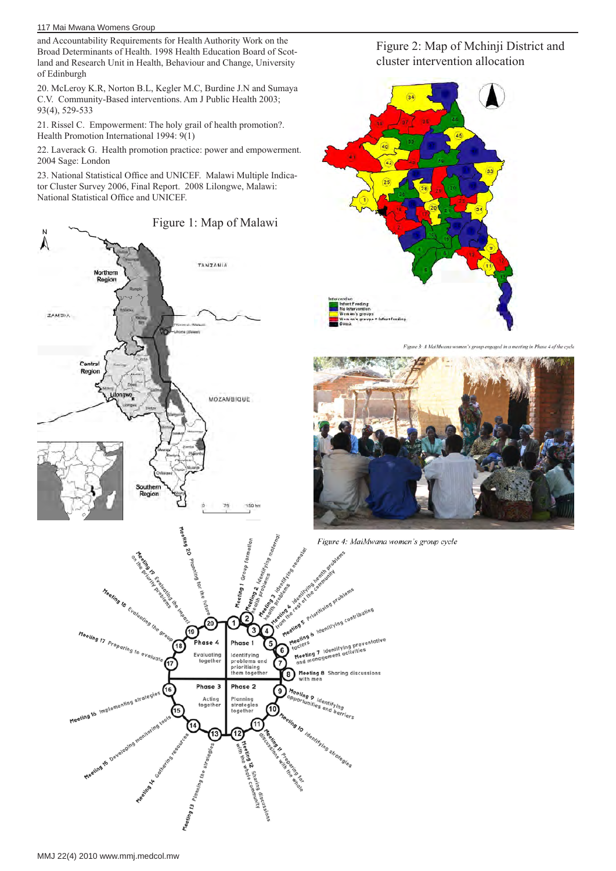#### 117 Mai Mwana Womens Group

Northen

Centra Region

N Λ

ZAMBIA

and Accountability Requirements for Health Authority Work on the Broad Determinants of Health. 1998 Health Education Board of Scotland and Research Unit in Health, Behaviour and Change, University of Edinburgh

20. McLeroy K.R, Norton B.L, Kegler M.C, Burdine J.N and Sumaya C.V. Community-Based interventions. Am J Public Health 2003; 93(4), 529-533

21. Rissel C. Empowerment: The holy grail of health promotion?. Health Promotion International 1994: 9(1)

22. Laverack G. Health promotion practice: power and empowerment. 2004 Sage: London

23. National Statistical Office and UNICEF. Malawi Multiple Indicator Cluster Survey 2006, Final Report. 2008 Lilongwe, Malawi: National Statistical Office and UNICEF.

Southern<br>Region

Figure 1: Map of Malawi

TANZANIA

MOZAMBIQUE

75

150 km

## Figure 2: Map of Mchinji District and cluster intervention allocation



of the cycle Fim





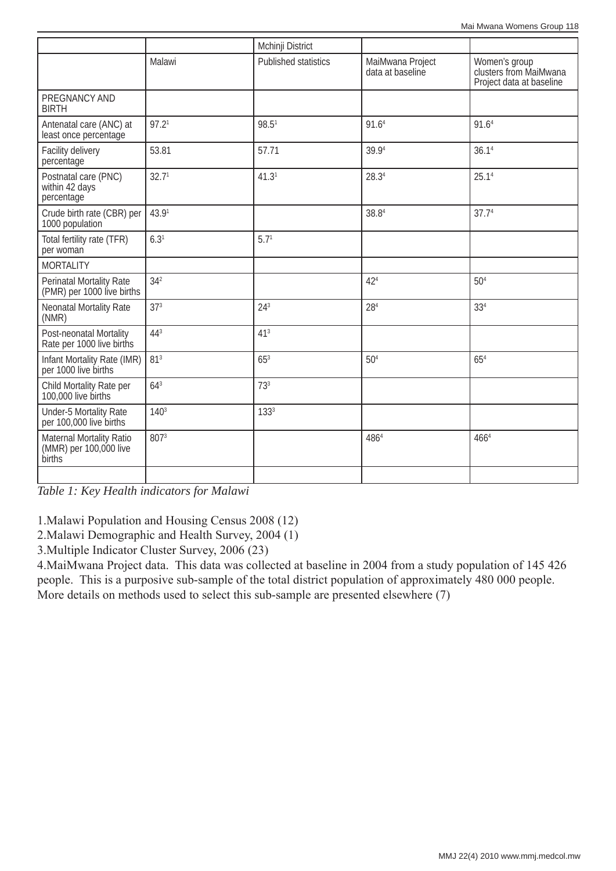|                                                                     |                   | Mchinji District            |                                      |                                                                     |
|---------------------------------------------------------------------|-------------------|-----------------------------|--------------------------------------|---------------------------------------------------------------------|
|                                                                     | Malawi            | <b>Published statistics</b> | MaiMwana Project<br>data at baseline | Women's group<br>clusters from MaiMwana<br>Project data at baseline |
| PREGNANCY AND<br><b>BIRTH</b>                                       |                   |                             |                                      |                                                                     |
| Antenatal care (ANC) at<br>least once percentage                    | 97.2 <sup>1</sup> | 98.51                       | 91.64                                | 91.64                                                               |
| Facility delivery<br>percentage                                     | 53.81             | 57.71                       | 39.94                                | 36.14                                                               |
| Postnatal care (PNC)<br>within 42 days<br>percentage                | 32.7 <sup>1</sup> | 41.3 <sup>1</sup>           | 28.34                                | 25.1 <sup>4</sup>                                                   |
| Crude birth rate (CBR) per<br>1000 population                       | 43.91             |                             | 38.84                                | 37.74                                                               |
| Total fertility rate (TFR)<br>per woman                             | $6.3^{1}$         | 5.7 <sup>1</sup>            |                                      |                                                                     |
| <b>MORTALITY</b>                                                    |                   |                             |                                      |                                                                     |
| Perinatal Mortality Rate<br>(PMR) per 1000 live births              | 34 <sup>2</sup>   |                             | 42 <sup>4</sup>                      | 50 <sup>4</sup>                                                     |
| Neonatal Mortality Rate<br>(NMR)                                    | 37 <sup>3</sup>   | $24^{3}$                    | 284                                  | 334                                                                 |
| Post-neonatal Mortality<br>Rate per 1000 live births                | $44^{3}$          | 41 <sup>3</sup>             |                                      |                                                                     |
| Infant Mortality Rate (IMR)<br>per 1000 live births                 | 81 <sup>3</sup>   | 65 <sup>3</sup>             | 50 <sup>4</sup>                      | 65 <sup>4</sup>                                                     |
| Child Mortality Rate per<br>100,000 live births                     | $64^{3}$          | 73 <sup>3</sup>             |                                      |                                                                     |
| Under-5 Mortality Rate<br>per 100,000 live births                   | 140 <sup>3</sup>  | $133^{3}$                   |                                      |                                                                     |
| <b>Maternal Mortality Ratio</b><br>(MMR) per 100,000 live<br>births | 8073              |                             | 4864                                 | 4664                                                                |
|                                                                     |                   |                             |                                      |                                                                     |

*Table 1: Key Health indicators for Malawi*

1.Malawi Population and Housing Census 2008 (12)

2.Malawi Demographic and Health Survey, 2004 (1)

3.Multiple Indicator Cluster Survey, 2006 (23)

4.MaiMwana Project data. This data was collected at baseline in 2004 from a study population of 145 426 people. This is a purposive sub-sample of the total district population of approximately 480 000 people. More details on methods used to select this sub-sample are presented elsewhere (7)